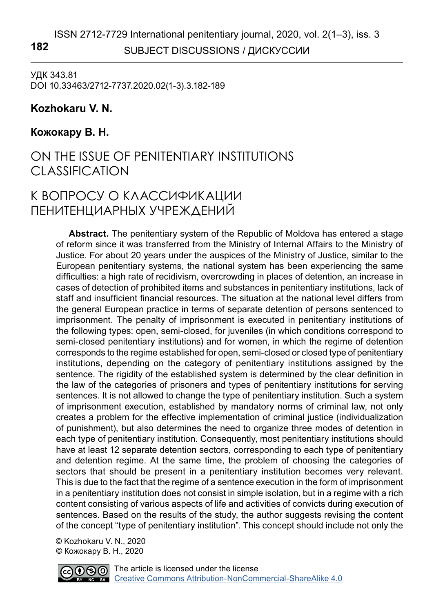## ISSN 2712-7729 International penitentiary journal, 2020, vol. 2(1–3), iss. 3 **182** SUBJECT DISCUSSIONS / ДИСКУССИИ

УДК 343.81 DOI 10.33463/2712-7737.2020.02(1-3).3.182-189

## **Kozhokaru V. N.1**

### **Кожокару В. Н.**

# ON THE ISSUE OF PENITENTIARY INSTITUTIONS CLASSIFICATION

# К ВОПРОСУ О КЛАССИФИКАЦИИ ПЕНИТЕНЦИАРНЫХ УЧРЕЖДЕНИЙ

**Abstract.** The penitentiary system of the Republic of Moldova has entered a stage of reform since it was transferred from the Ministry of Internal Affairs to the Ministry of Justice. For about 20 years under the auspices of the Ministry of Justice, similar to the European penitentiary systems, the national system has been experiencing the same difficulties: a high rate of recidivism, overcrowding in places of detention, an increase in cases of detection of prohibited items and substances in penitentiary institutions, lack of staff and insufficient financial resources. The situation at the national level differs from the general European practice in terms of separate detention of persons sentenced to imprisonment. The penalty of imprisonment is executed in penitentiary institutions of the following types: open, semi-closed, for juveniles (in which conditions correspond to semi-closed penitentiary institutions) and for women, in which the regime of detention corresponds to the regime established for open, semi-closed or closed type of penitentiary institutions, depending on the category of penitentiary institutions assigned by the sentence. The rigidity of the established system is determined by the clear definition in the law of the categories of prisoners and types of penitentiary institutions for serving sentences. It is not allowed to change the type of penitentiary institution. Such a system of imprisonment execution, established by mandatory norms of criminal law, not only creates a problem for the effective implementation of criminal justice (individualization of punishment), but also determines the need to organize three modes of detention in each type of penitentiary institution. Consequently, most penitentiary institutions should have at least 12 separate detention sectors, corresponding to each type of penitentiary and detention regime. At the same time, the problem of choosing the categories of sectors that should be present in a penitentiary institution becomes very relevant. This is due to the fact that the regime of a sentence execution in the form of imprisonment in a penitentiary institution does not consist in simple isolation, but in a regime with a rich content consisting of various aspects of life and activities of convicts during execution of sentences. Based on the results of the study, the author suggests revising the content of the concept "type of penitentiary institution". This concept should include not only the

 © Kozhokaru V. N., 2020 © Кожокару В. Н., 2020

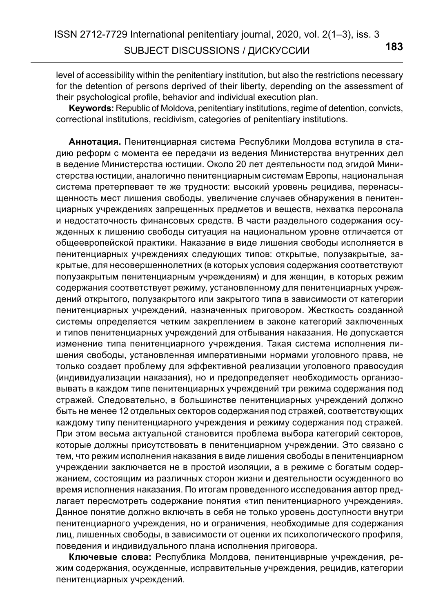level of accessibility within the penitentiary institution, but also the restrictions necessary for the detention of persons deprived of their liberty, depending on the assessment of their psychological profile, behavior and individual execution plan.

**Keywords:** Republic of Moldova, penitentiary institutions, regime of detention, convicts, correctional institutions, recidivism, categories of penitentiary institutions.

**Аннотация.** Пенитенциарная система Республики Молдова вступила в стадию реформ с момента ее передачи из ведения Министерства внутренних дел в ведение Министерства юстиции. Около 20 лет деятельности под эгидой Министерства юстиции, аналогично пенитенциарным системам Европы, национальная система претерпевает те же трудности: высокий уровень рецидива, перенасыщенность мест лишения свободы, увеличение случаев обнаружения в пенитенциарных учреждениях запрещенных предметов и веществ, нехватка персонала и недостаточность финансовых средств. В части раздельного содержания осужденных к лишению свободы ситуация на национальном уровне отличается от общеевропейской практики. Наказание в виде лишения свободы исполняется в пенитенциарных учреждениях следующих типов: открытые, полузакрытые, закрытые, для несовершеннолетних (в которых условия содержания соответствуют полузакрытым пенитенциарным учреждениям) и для женщин, в которых режим содержания соответствует режиму, установленному для пенитенциарных учреждений открытого, полузакрытого или закрытого типа в зависимости от категории пенитенциарных учреждений, назначенных приговором. Жесткость созданной системы определяется четким закреплением в законе категорий заключенных и типов пенитенциарных учреждений для отбывания наказания. Не допускается изменение типа пенитенциарного учреждения. Такая система исполнения лишения свободы, установленная императивными нормами уголовного права, не только создает проблему для эффективной реализации уголовного правосудия (индивидуализации наказания), но и предопределяет необходимость организовывать в каждом типе пенитенциарных учреждений три режима содержания под стражей. Следовательно, в большинстве пенитенциарных учреждений должно быть не менее 12 отдельных секторов содержания под стражей, соответствующих каждому типу пенитенциарного учреждения и режиму содержания под стражей. При этом весьма актуальной становится проблема выбора категорий секторов, которые должны присутствовать в пенитенциарном учреждении. Это связано с тем, что режим исполнения наказания в виде лишения свободы в пенитенциарном учреждении заключается не в простой изоляции, а в режиме с богатым содержанием, состоящим из различных сторон жизни и деятельности осужденного во время исполнения наказания. По итогам проведенного исследования автор предлагает пересмотреть содержание понятия «тип пенитенциарного учреждения». Данное понятие должно включать в себя не только уровень доступности внутри пенитенциарного учреждения, но и ограничения, необходимые для содержания лиц, лишенных свободы, в зависимости от оценки их психологического профиля, поведения и индивидуального плана исполнения приговора.

**Ключевые слова:** Республика Молдова, пенитенциарные учреждения, режим содержания, осужденные, исправительные учреждения, рецидив, категории пенитенциарных учреждений.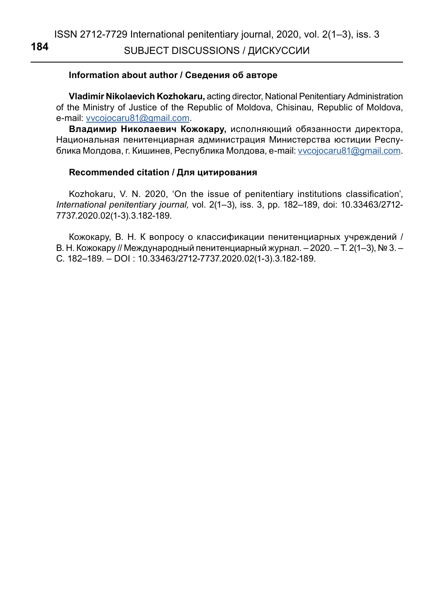#### **Information about author / Сведения об авторе**

**Vladimir Nikolaevich Kozhokaru,** acting director, National Penitentiary Administration of the Ministry of Justice of the Republic of Moldova, Chisinau, Republic of Moldova, e-mail: [vvcojocaru81@gmail.com](mailto:vvcojocaru81%40gmail.com?subject=).

**Владимир Николаевич Кожокару,** исполняющий обязанности директора, Национальная пенитенциарная администрация Министерства юстиции Республика Молдова, г. Кишинев, Республика Молдова, e-mail: [vvcojocaru81@gmail.com](mailto:vvcojocaru81%40gmail.com?subject=).

#### **Recommended citation / Для цитирования**

Kozhokaru, V. N. 2020, 'On the issue of penitentiary institutions classification', *International penitentiary journal,* vol. 2(1–3), iss. 3, pp. 182–189, doi: 10.33463/2712- 7737.2020.02(1-3).3.182-189.

Кожокару, В. Н. К вопросу о классификации пенитенциарных учреждений / В. Н. Кожокару // Международный пенитенциарный журнал. – 2020. – Т. 2(1–3), № 3. – С. 182–189. – DOI : 10.33463/2712-7737.2020.02(1-3).3.182-189.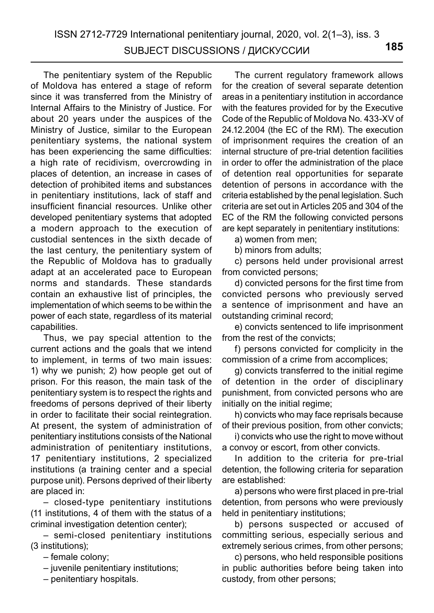The penitentiary system of the Republic of Moldova has entered a stage of reform since it was transferred from the Ministry of Internal Affairs to the Ministry of Justice. For about 20 years under the auspices of the Ministry of Justice, similar to the European penitentiary systems, the national system has been experiencing the same difficulties: a high rate of recidivism, overcrowding in places of detention, an increase in cases of detection of prohibited items and substances in penitentiary institutions, lack of staff and insufficient financial resources. Unlike other developed penitentiary systems that adopted a modern approach to the execution of custodial sentences in the sixth decade of the last century, the penitentiary system of the Republic of Moldova has to gradually adapt at an accelerated pace to European norms and standards. These standards contain an exhaustive list of principles, the implementation of which seems to be within the power of each state, regardless of its material capabilities.

Thus, we pay special attention to the current actions and the goals that we intend to implement, in terms of two main issues: 1) why we punish; 2) how people get out of prison. For this reason, the main task of the penitentiary system is to respect the rights and freedoms of persons deprived of their liberty in order to facilitate their social reintegration. At present, the system of administration of penitentiary institutions consists of the National administration of penitentiary institutions, 17 penitentiary institutions, 2 specialized institutions (a training center and a special purpose unit). Persons deprived of their liberty are placed in:

– closed-type penitentiary institutions (11 institutions, 4 of them with the status of a criminal investigation detention center);

– semi-closed penitentiary institutions (3 institutions);

- female colony;
- juvenile penitentiary institutions;
- penitentiary hospitals.

The current regulatory framework allows for the creation of several separate detention areas in a penitentiary institution in accordance with the features provided for by the Executive Code of the Republic of Moldova No. 433-XV of 24.12.2004 (the EC of the RM). The execution of imprisonment requires the creation of an internal structure of pre-trial detention facilities in order to offer the administration of the place of detention real opportunities for separate detention of persons in accordance with the criteria established by the penal legislation. Such criteria are set out in Articles 205 and 304 of the EC of the RM the following convicted persons are kept separately in penitentiary institutions:

а) women from men;

b) minors from adults;

с) persons held under provisional arrest from convicted persons;

d) convicted persons for the first time from convicted persons who previously served a sentence of imprisonment and have an outstanding criminal record;

е) convicts sentenced to life imprisonment from the rest of the convicts;

f) persons convicted for complicity in the commission of a crime from accomplices;

g) convicts transferred to the initial regime of detention in the order of disciplinary punishment, from convicted persons who are initially on the initial regime;

h) convicts who may face reprisals because of their previous position, from other convicts;

i) convicts who use the right to move without a convoy or escort, from other convicts.

In addition to the criteria for pre-trial detention, the following criteria for separation are established:

a) persons who were first placed in pre-trial detention, from persons who were previously held in penitentiary institutions;

b) persons suspected or accused of committing serious, especially serious and extremely serious crimes, from other persons;

c) persons, who held responsible positions in public authorities before being taken into custody, from other persons;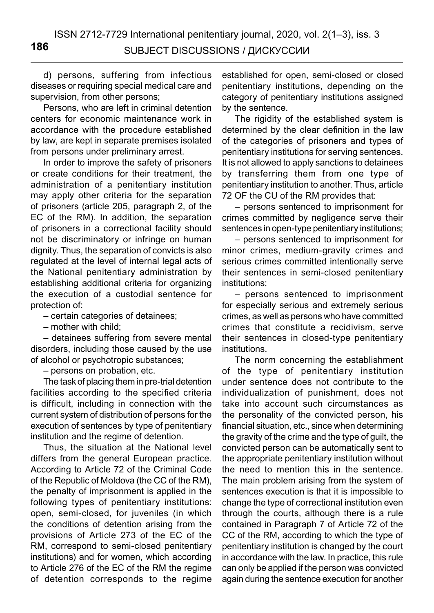d) persons, suffering from infectious diseases or requiring special medical care and supervision, from other persons;

Persons, who are left in criminal detention centers for economic maintenance work in accordance with the procedure established by law, are kept in separate premises isolated from persons under preliminary arrest.

In order to improve the safety of prisoners or create conditions for their treatment, the administration of a penitentiary institution may apply other criteria for the separation of prisoners (article 205, paragraph 2, of the EC of the RM). In addition, the separation of prisoners in a correctional facility should not be discriminatory or infringe on human dignity. Thus, the separation of convicts is also regulated at the level of internal legal acts of the National penitentiary administration by establishing additional criteria for organizing the execution of a custodial sentence for protection of:

– certain categories of detainees;

– mother with child;

– detainees suffering from severe mental disorders, including those caused by the use of alcohol or psychotropic substances;

– persons on probation, etc.

The task of placing them in pre-trial detention facilities according to the specified criteria is difficult, including in connection with the current system of distribution of persons for the execution of sentences by type of penitentiary institution and the regime of detention.

Thus, the situation at the National level differs from the general European practice. According to Article 72 of the Criminal Code of the Republic of Moldova (the CC of the RM), the penalty of imprisonment is applied in the following types of penitentiary institutions: open, semi-closed, for juveniles (in which the conditions of detention arising from the provisions of Article 273 of the EC of the RM, correspond to semi-closed penitentiary institutions) and for women, which according to Article 276 of the EC of the RM the regime of detention corresponds to the regime established for open, semi-closed or closed penitentiary institutions, depending on the category of penitentiary institutions assigned by the sentence.

The rigidity of the established system is determined by the clear definition in the law of the categories of prisoners and types of penitentiary institutions for serving sentences. It is not allowed to apply sanctions to detainees by transferring them from one type of penitentiary institution to another. Thus, article 72 OF the CU of the RM provides that:

– persons sentenced to imprisonment for crimes committed by negligence serve their sentences in open-type penitentiary institutions;

– persons sentenced to imprisonment for minor crimes, medium-gravity crimes and serious crimes committed intentionally serve their sentences in semi-closed penitentiary institutions;

– persons sentenced to imprisonment for especially serious and extremely serious crimes, as well as persons who have committed crimes that constitute a recidivism, serve their sentences in closed-type penitentiary institutions.

The norm concerning the establishment of the type of penitentiary institution under sentence does not contribute to the individualization of punishment, does not take into account such circumstances as the personality of the convicted person, his financial situation, etc., since when determining the gravity of the crime and the type of guilt, the convicted person can be automatically sent to the appropriate penitentiary institution without the need to mention this in the sentence. The main problem arising from the system of sentences execution is that it is impossible to change the type of correctional institution even through the courts, although there is a rule contained in Paragraph 7 of Article 72 of the CC of the RM, according to which the type of penitentiary institution is changed by the court in accordance with the law. In practice, this rule can only be applied if the person was convicted again during the sentence execution for another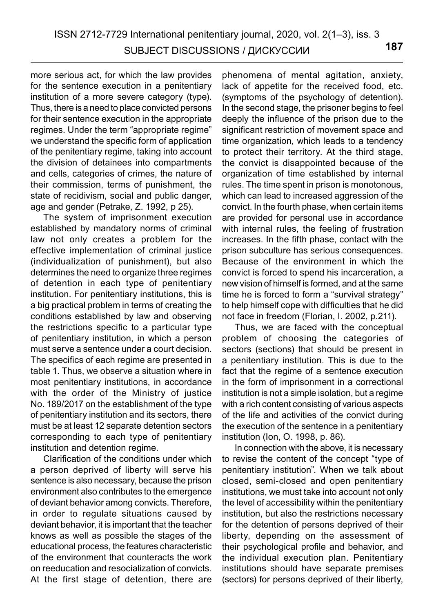more serious act, for which the law provides for the sentence execution in a penitentiary institution of a more severe category (type). Thus, there is a need to place convicted persons for their sentence execution in the appropriate regimes. Under the term "appropriate regime" we understand the specific form of application of the penitentiary regime, taking into account the division of detainees into compartments and cells, categories of crimes, the nature of their commission, terms of punishment, the state of recidivism, social and public danger, age and gender (Petrake, Z. 1992, p 25).

The system of imprisonment execution established by mandatory norms of criminal law not only creates a problem for the effective implementation of criminal justice (individualization of punishment), but also determines the need to organize three regimes of detention in each type of penitentiary institution. For penitentiary institutions, this is a big practical problem in terms of creating the conditions established by law and observing the restrictions specific to a particular type of penitentiary institution, in which a person must serve a sentence under a court decision. The specifics of each regime are presented in table 1. Thus, we observe a situation where in most penitentiary institutions, in accordance with the order of the Ministry of justice No. 189/2017 on the establishment of the type of penitentiary institution and its sectors, there must be at least 12 separate detention sectors corresponding to each type of penitentiary institution and detention regime.

Clarification of the conditions under which a person deprived of liberty will serve his sentence is also necessary, because the prison environment also contributes to the emergence of deviant behavior among convicts. Therefore, in order to regulate situations caused by deviant behavior, it is important that the teacher knows as well as possible the stages of the educational process, the features characteristic of the environment that counteracts the work on reeducation and resocialization of convicts. At the first stage of detention, there are phenomena of mental agitation, anxiety, lack of appetite for the received food, etc. (symptoms of the psychology of detention). In the second stage, the prisoner begins to feel deeply the influence of the prison due to the significant restriction of movement space and time organization, which leads to a tendency to protect their territory. At the third stage, the convict is disappointed because of the organization of time established by internal rules. The time spent in prison is monotonous, which can lead to increased aggression of the convict. In the fourth phase, when certain items are provided for personal use in accordance with internal rules, the feeling of frustration increases. In the fifth phase, contact with the prison subculture has serious consequences. Because of the environment in which the convict is forced to spend his incarceration, a new vision of himself is formed, and at the same time he is forced to form a "survival strategy" to help himself cope with difficulties that he did not face in freedom (Florian, I. 2002, p.211).

Thus, we are faced with the conceptual problem of choosing the categories of sectors (sections) that should be present in a penitentiary institution. This is due to the fact that the regime of a sentence execution in the form of imprisonment in a correctional institution is not a simple isolation, but a regime with a rich content consisting of various aspects of the life and activities of the convict during the execution of the sentence in a penitentiary institution (Ion, O. 1998, p. 86).

In connection with the above, it is necessary to revise the content of the concept "type of penitentiary institution". When we talk about closed, semi-closed and open penitentiary institutions, we must take into account not only the level of accessibility within the penitentiary institution, but also the restrictions necessary for the detention of persons deprived of their liberty, depending on the assessment of their psychological profile and behavior, and the individual execution plan. Penitentiary institutions should have separate premises (sectors) for persons deprived of their liberty,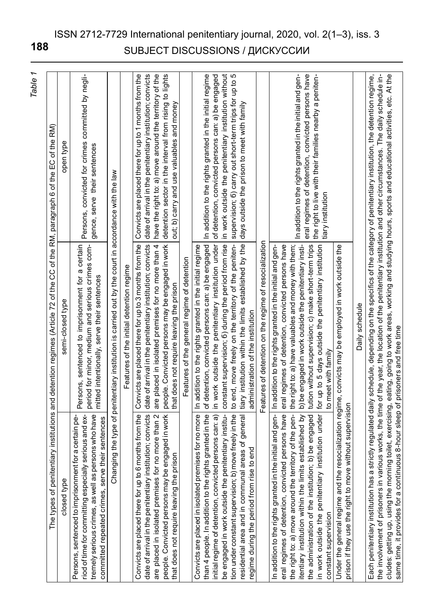| the involvement of prisoners in various works, the time of the year, the location of the penitentiary institution and other circumstances. The daily schedule in-<br>cludes: getting up, using the morning toilet, exercising, eating, going fo work areas, working and studying hours, sports and educational activities, etc. At the<br>strictly regulated daily schedule, depending on the specifics of the category of penitentiary institution, the detention regime, |                                                                                                                                                                                                                                                                                                                                                                                    | same time, it provides for a continuous 8-hour sleep of prisoners and free time<br>Each penitentiary institution has a                                                                                                                                                                                                                                                                                 |
|----------------------------------------------------------------------------------------------------------------------------------------------------------------------------------------------------------------------------------------------------------------------------------------------------------------------------------------------------------------------------------------------------------------------------------------------------------------------------|------------------------------------------------------------------------------------------------------------------------------------------------------------------------------------------------------------------------------------------------------------------------------------------------------------------------------------------------------------------------------------|--------------------------------------------------------------------------------------------------------------------------------------------------------------------------------------------------------------------------------------------------------------------------------------------------------------------------------------------------------------------------------------------------------|
|                                                                                                                                                                                                                                                                                                                                                                                                                                                                            | Daily schedule                                                                                                                                                                                                                                                                                                                                                                     |                                                                                                                                                                                                                                                                                                                                                                                                        |
|                                                                                                                                                                                                                                                                                                                                                                                                                                                                            |                                                                                                                                                                                                                                                                                                                                                                                    | Under the general regime and the resocialization regime, convicts may be employed in work outside the<br>prison if they use the right to move without supervision                                                                                                                                                                                                                                      |
| In addition to the rights granted in the initial and gen-<br>eral regimes of detention, convicted persons have<br>the right to live with their families nearby a peniten-<br>tiary institution                                                                                                                                                                                                                                                                             | b) be engaged in work outside the penitentiary insti-<br>for up to 5 days outside the penitentiary institution<br>tution without supervision; c) make short-term trips<br>the right to: a) have valuables and money with them;<br>eral regimes of detention, convicted persons have<br>In addition to the rights granted in the initial and gen-<br>to meet with family            | institution under<br>the administration of the institution; b) be engaged<br>eral regimes of detention, convicted persons have<br>itentiary institution within the limits established by<br>In addition to the rights granted in the initial and gen-<br>the right to: a) move around the territory of the pen-<br>in work outside the penitentiary<br>constant supervision                            |
|                                                                                                                                                                                                                                                                                                                                                                                                                                                                            | Features of detention on the regime of resocialization                                                                                                                                                                                                                                                                                                                             |                                                                                                                                                                                                                                                                                                                                                                                                        |
| In addition to the rights granted in the initial regime<br>in work outside the penitentiary institution without<br>supervision; 6) carry out short-term trips for up to 5<br>of detention, convicted persons can: a) be engaged<br>days outside the prison to meet with family                                                                                                                                                                                             | constant supervision; 6) during the period from rise<br>in work outside the penitentiary institution under<br>to end, move freely on the territory of the peniten-<br>tiary institution within the limits established by the<br>of detention, convicted persons can: a) be engaged<br>In addition to the rights granted in the initial regime<br>administration of the institution | be engaged in work outside the penitentiary institu-<br>Convicts are placed in isolated premises for no more<br>than 4 people. In addition to the rights granted in the<br>initial regime of detention, convicted persons can: a)<br>move freely in the<br>areas of general<br>to end<br>residential area and in communal<br>regime during the period from rise<br>tion under constant supervision; b) |
|                                                                                                                                                                                                                                                                                                                                                                                                                                                                            | Features of the general regime of detention                                                                                                                                                                                                                                                                                                                                        |                                                                                                                                                                                                                                                                                                                                                                                                        |
| have the right to: a) move around the territory of the<br>Convicts are placed there for up to 1 months from the<br>date of arrival in the penitentiary institution; convicts<br>detention sector in the interval from rising to lights<br>out; b) carry and use valuables and money                                                                                                                                                                                        | Convicts are placed there for up to 3 months from the<br>people. Convicted persons may be engaged in work<br>date of arrival in the penitentiary institution; convicts<br>are placed in isolated premises for no more than 4<br>that does not require leaving the prison                                                                                                           | Convicts are placed there for up to 6 months from the<br>date of arrival in the penitentiary institution; convicts<br>people. Convicted persons may be engaged in work<br>are placed in isolated premises for no more than 2<br>that does not require leaving the prison                                                                                                                               |
|                                                                                                                                                                                                                                                                                                                                                                                                                                                                            | Features of the initial detention regime                                                                                                                                                                                                                                                                                                                                           |                                                                                                                                                                                                                                                                                                                                                                                                        |
|                                                                                                                                                                                                                                                                                                                                                                                                                                                                            | Changing the type of penitentiary institution is carried out by the court in accordance with the law                                                                                                                                                                                                                                                                               |                                                                                                                                                                                                                                                                                                                                                                                                        |
| Persons, convicted for crimes committed by negli-<br>gence, serve their sentences                                                                                                                                                                                                                                                                                                                                                                                          | Persons, sentenced to imprisonment for a certain<br>period for minor, medium and serious crimes com-<br>mitted intentionally, serve their sentences                                                                                                                                                                                                                                | riod of time for committing especially serious and ex-<br>ersons who have<br>Persons, sentenced to imprisonment for a certain pe-<br>committed repeated crimes, serve their sentences<br>tremely serious crimes, as well as p                                                                                                                                                                          |
| open type                                                                                                                                                                                                                                                                                                                                                                                                                                                                  | semi-closed type                                                                                                                                                                                                                                                                                                                                                                   | closed type                                                                                                                                                                                                                                                                                                                                                                                            |
|                                                                                                                                                                                                                                                                                                                                                                                                                                                                            | The types of penitentiary institutions and detention regimes (Article 72 of the CC of the RM, paragraph 6 of the EC of the RM)                                                                                                                                                                                                                                                     |                                                                                                                                                                                                                                                                                                                                                                                                        |
| <u>—</u><br>Table                                                                                                                                                                                                                                                                                                                                                                                                                                                          |                                                                                                                                                                                                                                                                                                                                                                                    |                                                                                                                                                                                                                                                                                                                                                                                                        |

ISSN 2712-7729 International penitentiary journal, 2020, vol. 2(1–3), iss. 3

# SUBJECT DISCUSSIONS / ДИСКУССИИ **188**